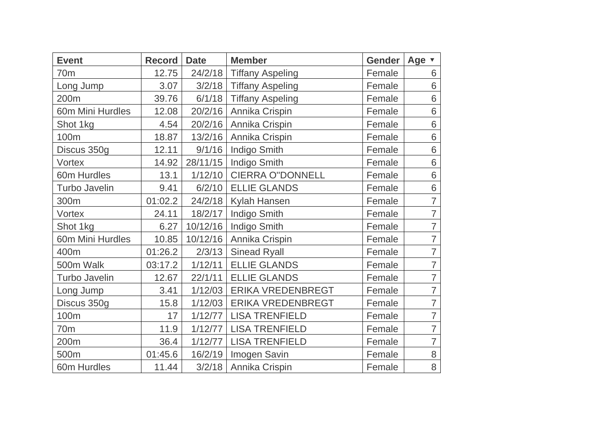| <b>Event</b>         | <b>Record</b> | <b>Date</b> | <b>Member</b>           | <b>Gender</b> | Age v          |
|----------------------|---------------|-------------|-------------------------|---------------|----------------|
| 70 <sub>m</sub>      | 12.75         | 24/2/18     | <b>Tiffany Aspeling</b> | Female        | 6              |
| Long Jump            | 3.07          | 3/2/18      | <b>Tiffany Aspeling</b> | Female        | 6              |
| 200m                 | 39.76         | 6/1/18      | <b>Tiffany Aspeling</b> | Female        | 6              |
| 60m Mini Hurdles     | 12.08         | 20/2/16     | Annika Crispin          | Female        | 6              |
| Shot 1kg             | 4.54          | 20/2/16     | Annika Crispin          | Female        | 6              |
| 100m                 | 18.87         | 13/2/16     | Annika Crispin          | Female        | 6              |
| Discus 350g          | 12.11         | 9/1/16      | Indigo Smith            | Female        | 6              |
| Vortex               | 14.92         | 28/11/15    | Indigo Smith            | Female        | 6              |
| 60m Hurdles          | 13.1          | 1/12/10     | <b>CIERRA O"DONNELL</b> | Female        | 6              |
| <b>Turbo Javelin</b> | 9.41          | 6/2/10      | <b>ELLIE GLANDS</b>     | Female        | 6              |
| 300m                 | 01:02.2       | 24/2/18     | Kylah Hansen            | Female        | $\overline{7}$ |
| Vortex               | 24.11         | 18/2/17     | Indigo Smith            | Female        | $\overline{7}$ |
| Shot 1kg             | 6.27          | 10/12/16    | Indigo Smith            | Female        | $\overline{7}$ |
| 60m Mini Hurdles     | 10.85         | 10/12/16    | Annika Crispin          | Female        | $\overline{7}$ |
| 400m                 | 01:26.2       | 2/3/13      | <b>Sinead Ryall</b>     | Female        | $\overline{7}$ |
| 500m Walk            | 03:17.2       | 1/12/11     | <b>ELLIE GLANDS</b>     | Female        | $\overline{7}$ |
| <b>Turbo Javelin</b> | 12.67         | 22/1/11     | <b>ELLIE GLANDS</b>     | Female        | $\overline{7}$ |
| Long Jump            | 3.41          | 1/12/03     | ERIKA VREDENBREGT       | Female        | $\overline{7}$ |
| Discus 350g          | 15.8          | 1/12/03     | ERIKA VREDENBREGT       | Female        | $\overline{7}$ |
| 100m                 | 17            | 1/12/77     | <b>LISA TRENFIELD</b>   | Female        | $\overline{7}$ |
| 70 <sub>m</sub>      | 11.9          | 1/12/77     | <b>LISA TRENFIELD</b>   | Female        | $\overline{7}$ |
| 200m                 | 36.4          | 1/12/77     | <b>LISA TRENFIELD</b>   | Female        | $\overline{7}$ |
| 500m                 | 01:45.6       | 16/2/19     | Imogen Savin            | Female        | 8              |
| 60m Hurdles          | 11.44         | 3/2/18      | Annika Crispin          | Female        | 8              |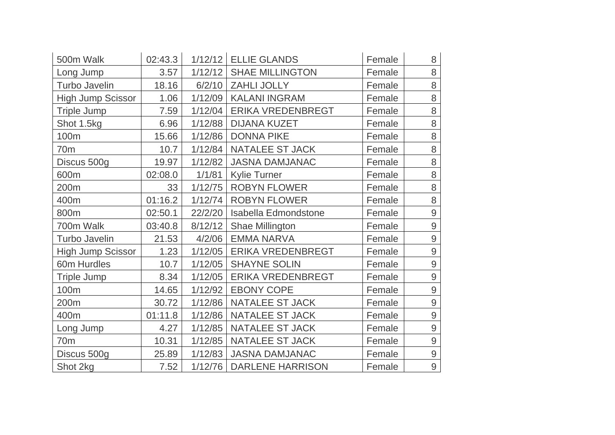| 500m Walk                | 02:43.3 |         | $1/12/12$ ELLIE GLANDS   | Female | 8              |
|--------------------------|---------|---------|--------------------------|--------|----------------|
| Long Jump                | 3.57    | 1/12/12 | <b>SHAE MILLINGTON</b>   | Female | 8              |
| <b>Turbo Javelin</b>     | 18.16   | 6/2/10  | ZAHLI JOLLY              | Female | 8              |
| <b>High Jump Scissor</b> | 1.06    | 1/12/09 | <b>KALANI INGRAM</b>     | Female | 8              |
| Triple Jump              | 7.59    | 1/12/04 | <b>ERIKA VREDENBREGT</b> | Female | 8              |
| Shot 1.5kg               | 6.96    | 1/12/88 | <b>DIJANA KUZET</b>      | Female | 8              |
| 100m                     | 15.66   | 1/12/86 | <b>DONNA PIKE</b>        | Female | 8              |
| 70m                      | 10.7    | 1/12/84 | <b>NATALEE ST JACK</b>   | Female | 8              |
| Discus 500g              | 19.97   | 1/12/82 | <b>JASNA DAMJANAC</b>    | Female | 8              |
| 600m                     | 02:08.0 | 1/1/81  | <b>Kylie Turner</b>      | Female | 8              |
| 200m                     | 33      | 1/12/75 | <b>ROBYN FLOWER</b>      | Female | 8              |
| 400m                     | 01:16.2 | 1/12/74 | <b>ROBYN FLOWER</b>      | Female | 8              |
| 800m                     | 02:50.1 | 22/2/20 | Isabella Edmondstone     | Female | $\mathsf 9$    |
| 700m Walk                | 03:40.8 | 8/12/12 | Shae Millington          | Female | $\overline{9}$ |
| <b>Turbo Javelin</b>     | 21.53   | 4/2/06  | <b>EMMA NARVA</b>        | Female | $\mathsf 9$    |
| <b>High Jump Scissor</b> | 1.23    | 1/12/05 | ERIKA VREDENBREGT        | Female | $\mathsf 9$    |
| 60m Hurdles              | 10.7    | 1/12/05 | <b>SHAYNE SOLIN</b>      | Female | $\overline{9}$ |
| <b>Triple Jump</b>       | 8.34    | 1/12/05 | ERIKA VREDENBREGT        | Female | $\overline{9}$ |
| 100m                     | 14.65   | 1/12/92 | <b>EBONY COPE</b>        | Female | $\overline{9}$ |
| 200m                     | 30.72   | 1/12/86 | NATALEE ST JACK          | Female | $\overline{9}$ |
| 400m                     | 01:11.8 | 1/12/86 | NATALEE ST JACK          | Female | $\overline{9}$ |
| Long Jump                | 4.27    | 1/12/85 | NATALEE ST JACK          | Female | $\overline{9}$ |
| 70 <sub>m</sub>          | 10.31   | 1/12/85 | NATALEE ST JACK          | Female | $\mathsf{9}$   |
| Discus 500g              | 25.89   | 1/12/83 | <b>JASNA DAMJANAC</b>    | Female | $\mathsf 9$    |
| Shot 2kg                 | 7.52    | 1/12/76 | <b>DARLENE HARRISON</b>  | Female | $\overline{9}$ |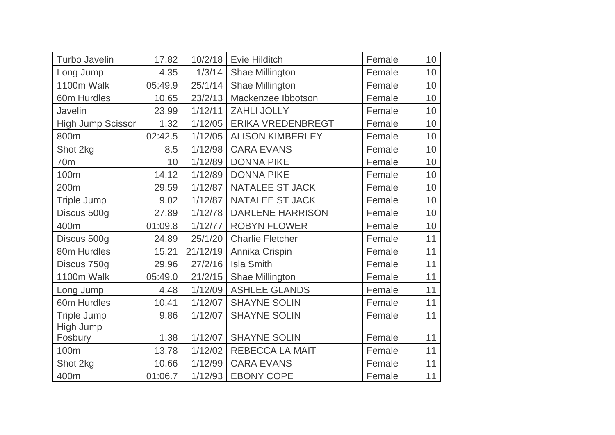| <b>Turbo Javelin</b>     | 17.82           |          | 10/2/18   Evie Hilditch | Female | 10 <sup>°</sup> |
|--------------------------|-----------------|----------|-------------------------|--------|-----------------|
| Long Jump                | 4.35            | 1/3/14   | Shae Millington         | Female | 10              |
| 1100m Walk               | 05:49.9         | 25/1/14  | Shae Millington         | Female | 10              |
| 60m Hurdles              | 10.65           | 23/2/13  | Mackenzee Ibbotson      | Female | 10              |
| Javelin                  | 23.99           | 1/12/11  | ZAHLI JOLLY             | Female | 10              |
| <b>High Jump Scissor</b> | 1.32            | 1/12/05  | ERIKA VREDENBREGT       | Female | 10              |
| 800m                     | 02:42.5         | 1/12/05  | <b>ALISON KIMBERLEY</b> | Female | 10              |
| Shot 2kg                 | 8.5             | 1/12/98  | <b>CARA EVANS</b>       | Female | 10              |
| 70 <sub>m</sub>          | 10 <sup>1</sup> | 1/12/89  | <b>DONNA PIKE</b>       | Female | 10              |
| 100m                     | 14.12           | 1/12/89  | <b>DONNA PIKE</b>       | Female | 10 <sup>°</sup> |
| 200m                     | 29.59           | 1/12/87  | <b>NATALEE ST JACK</b>  | Female | 10              |
| <b>Triple Jump</b>       | 9.02            | 1/12/87  | NATALEE ST JACK         | Female | 10              |
| Discus 500g              | 27.89           | 1/12/78  | <b>DARLENE HARRISON</b> | Female | 10              |
| 400m                     | 01:09.8         | 1/12/77  | <b>ROBYN FLOWER</b>     | Female | 10              |
| Discus 500g              | 24.89           | 25/1/20  | <b>Charlie Fletcher</b> | Female | 11              |
| 80m Hurdles              | 15.21           | 21/12/19 | Annika Crispin          | Female | 11              |
| Discus 750g              | 29.96           | 27/2/16  | <b>Isla Smith</b>       | Female | 11              |
| 1100m Walk               | 05:49.0         | 21/2/15  | Shae Millington         | Female | 11              |
| Long Jump                | 4.48            | 1/12/09  | <b>ASHLEE GLANDS</b>    | Female | 11              |
| 60m Hurdles              | 10.41           | 1/12/07  | <b>SHAYNE SOLIN</b>     | Female | 11              |
| <b>Triple Jump</b>       | 9.86            | 1/12/07  | <b>SHAYNE SOLIN</b>     | Female | 11              |
| High Jump                |                 |          |                         |        |                 |
| Fosbury                  | 1.38            | 1/12/07  | <b>SHAYNE SOLIN</b>     | Female | 11              |
| 100m                     | 13.78           | 1/12/02  | REBECCA LA MAIT         | Female | 11              |
| Shot 2kg                 | 10.66           | 1/12/99  | <b>CARA EVANS</b>       | Female | 11              |
| 400m                     | 01:06.7         | 1/12/93  | <b>EBONY COPE</b>       | Female | 11              |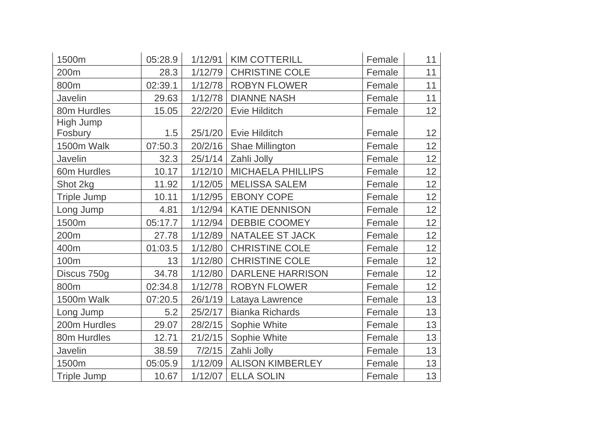| 1500m              | 05:28.9 | 1/12/91 | <b>KIM COTTERILL</b>     | Female | 11              |
|--------------------|---------|---------|--------------------------|--------|-----------------|
| 200m               | 28.3    | 1/12/79 | <b>CHRISTINE COLE</b>    | Female | 11              |
| 800m               | 02:39.1 | 1/12/78 | <b>ROBYN FLOWER</b>      | Female | 11              |
| Javelin            | 29.63   | 1/12/78 | <b>DIANNE NASH</b>       | Female | 11              |
| 80m Hurdles        | 15.05   | 22/2/20 | Evie Hilditch            | Female | 12              |
| High Jump          |         |         |                          |        |                 |
| Fosbury            | 1.5     | 25/1/20 | <b>Evie Hilditch</b>     | Female | 12              |
| 1500m Walk         | 07:50.3 | 20/2/16 | Shae Millington          | Female | 12              |
| <b>Javelin</b>     | 32.3    | 25/1/14 | Zahli Jolly              | Female | 12              |
| 60m Hurdles        | 10.17   | 1/12/10 | <b>MICHAELA PHILLIPS</b> | Female | 12              |
| Shot 2kg           | 11.92   | 1/12/05 | <b>MELISSA SALEM</b>     | Female | 12 <sub>2</sub> |
| <b>Triple Jump</b> | 10.11   | 1/12/95 | <b>EBONY COPE</b>        | Female | 12 <sub>2</sub> |
| Long Jump          | 4.81    | 1/12/94 | <b>KATIE DENNISON</b>    | Female | 12              |
| 1500m              | 05:17.7 | 1/12/94 | <b>DEBBIE COOMEY</b>     | Female | 12 <sub>2</sub> |
| 200m               | 27.78   | 1/12/89 | <b>NATALEE ST JACK</b>   | Female | 12              |
| 400m               | 01:03.5 | 1/12/80 | <b>CHRISTINE COLE</b>    | Female | 12              |
| 100m               | 13      | 1/12/80 | <b>CHRISTINE COLE</b>    | Female | 12              |
| Discus 750g        | 34.78   | 1/12/80 | <b>DARLENE HARRISON</b>  | Female | 12              |
| 800m               | 02:34.8 | 1/12/78 | <b>ROBYN FLOWER</b>      | Female | 12 <sub>2</sub> |
| 1500m Walk         | 07:20.5 | 26/1/19 | Lataya Lawrence          | Female | 13              |
| Long Jump          | 5.2     | 25/2/17 | <b>Bianka Richards</b>   | Female | 13              |
| 200m Hurdles       | 29.07   | 28/2/15 | Sophie White             | Female | 13              |
| 80m Hurdles        | 12.71   | 21/2/15 | Sophie White             | Female | 13              |
| Javelin            | 38.59   | 7/2/15  | Zahli Jolly              | Female | 13              |
| 1500m              | 05:05.9 | 1/12/09 | <b>ALISON KIMBERLEY</b>  | Female | 13              |
| <b>Triple Jump</b> | 10.67   | 1/12/07 | <b>ELLA SOLIN</b>        | Female | 13              |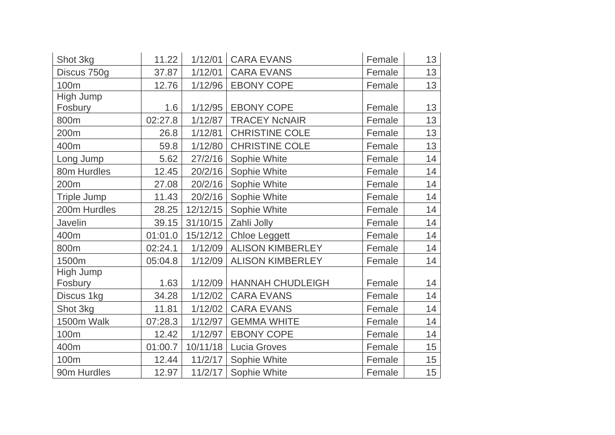| Shot 3kg           | 11.22   | 1/12/01  | <b>CARA EVANS</b>          | Female | 13 |
|--------------------|---------|----------|----------------------------|--------|----|
| Discus 750g        | 37.87   | 1/12/01  | <b>CARA EVANS</b>          | Female | 13 |
| 100m               | 12.76   | 1/12/96  | <b>EBONY COPE</b>          | Female | 13 |
| High Jump          |         |          |                            |        |    |
| Fosbury            | 1.6     |          | 1/12/95   EBONY COPE       | Female | 13 |
| 800m               | 02:27.8 | 1/12/87  | <b>TRACEY NcNAIR</b>       | Female | 13 |
| 200m               | 26.8    | 1/12/81  | <b>CHRISTINE COLE</b>      | Female | 13 |
| 400m               | 59.8    | 1/12/80  | <b>CHRISTINE COLE</b>      | Female | 13 |
| Long Jump          | 5.62    | 27/2/16  | Sophie White               | Female | 14 |
| 80m Hurdles        | 12.45   | 20/2/16  | Sophie White               | Female | 14 |
| 200m               | 27.08   | 20/2/16  | Sophie White               | Female | 14 |
| <b>Triple Jump</b> | 11.43   | 20/2/16  | Sophie White               | Female | 14 |
| 200m Hurdles       | 28.25   | 12/12/15 | Sophie White               | Female | 14 |
| Javelin            | 39.15   | 31/10/15 | Zahli Jolly                | Female | 14 |
| 400m               | 01:01.0 | 15/12/12 | <b>Chloe Leggett</b>       | Female | 14 |
| 800m               | 02:24.1 | 1/12/09  | <b>ALISON KIMBERLEY</b>    | Female | 14 |
| 1500m              | 05:04.8 | 1/12/09  | <b>ALISON KIMBERLEY</b>    | Female | 14 |
| High Jump          |         |          |                            |        |    |
| Fosbury            | 1.63    |          | 1/12/09   HANNAH CHUDLEIGH | Female | 14 |
| Discus 1kg         | 34.28   | 1/12/02  | <b>CARA EVANS</b>          | Female | 14 |
| Shot 3kg           | 11.81   | 1/12/02  | <b>CARA EVANS</b>          | Female | 14 |
| 1500m Walk         | 07:28.3 | 1/12/97  | <b>GEMMA WHITE</b>         | Female | 14 |
| 100m               | 12.42   | 1/12/97  | <b>EBONY COPE</b>          | Female | 14 |
| 400m               | 01:00.7 | 10/11/18 | <b>Lucia Groves</b>        | Female | 15 |
| 100m               | 12.44   | 11/2/17  | Sophie White               | Female | 15 |
| 90m Hurdles        | 12.97   | 11/2/17  | Sophie White               | Female | 15 |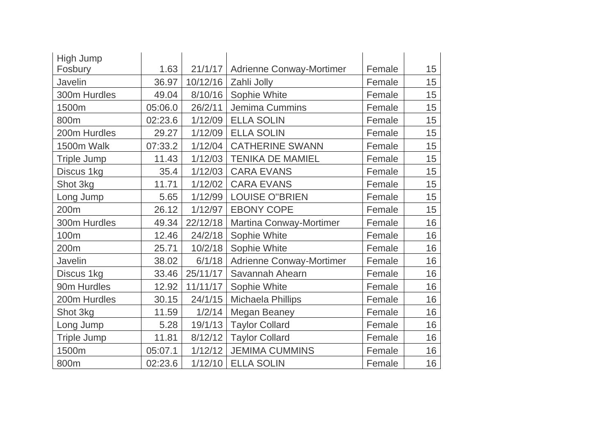| High Jump          |         |          |                                 |        |        |
|--------------------|---------|----------|---------------------------------|--------|--------|
| Fosbury            | 1.63    | 21/1/17  | <b>Adrienne Conway-Mortimer</b> | Female | $15\,$ |
| Javelin            | 36.97   | 10/12/16 | Zahli Jolly                     | Female | 15     |
| 300m Hurdles       | 49.04   | 8/10/16  | Sophie White                    | Female | 15     |
| 1500m              | 05:06.0 | 26/2/11  | Jemima Cummins                  | Female | 15     |
| 800m               | 02:23.6 | 1/12/09  | <b>ELLA SOLIN</b>               | Female | 15     |
| 200m Hurdles       | 29.27   | 1/12/09  | <b>ELLA SOLIN</b>               | Female | 15     |
| 1500m Walk         | 07:33.2 | 1/12/04  | <b>CATHERINE SWANN</b>          | Female | 15     |
| <b>Triple Jump</b> | 11.43   | 1/12/03  | <b>TENIKA DE MAMIEL</b>         | Female | 15     |
| Discus 1kg         | 35.4    | 1/12/03  | <b>CARA EVANS</b>               | Female | 15     |
| Shot 3kg           | 11.71   | 1/12/02  | <b>CARA EVANS</b>               | Female | 15     |
| Long Jump          | 5.65    | 1/12/99  | <b>LOUISE O"BRIEN</b>           | Female | 15     |
| 200m               | 26.12   | 1/12/97  | <b>EBONY COPE</b>               | Female | 15     |
| 300m Hurdles       | 49.34   | 22/12/18 | Martina Conway-Mortimer         | Female | 16     |
| 100m               | 12.46   | 24/2/18  | Sophie White                    | Female | 16     |
| 200m               | 25.71   | 10/2/18  | Sophie White                    | Female | 16     |
| Javelin            | 38.02   | 6/1/18   | <b>Adrienne Conway-Mortimer</b> | Female | 16     |
| Discus 1kg         | 33.46   | 25/11/17 | Savannah Ahearn                 | Female | 16     |
| 90m Hurdles        | 12.92   | 11/11/17 | Sophie White                    | Female | 16     |
| 200m Hurdles       | 30.15   | 24/1/15  | Michaela Phillips               | Female | 16     |
| Shot 3kg           | 11.59   | 1/2/14   | Megan Beaney                    | Female | 16     |
| Long Jump          | 5.28    | 19/1/13  | <b>Taylor Collard</b>           | Female | 16     |
| <b>Triple Jump</b> | 11.81   | 8/12/12  | <b>Taylor Collard</b>           | Female | 16     |
| 1500m              | 05:07.1 | 1/12/12  | <b>JEMIMA CUMMINS</b>           | Female | 16     |
| 800m               | 02:23.6 | 1/12/10  | <b>ELLA SOLIN</b>               | Female | 16     |